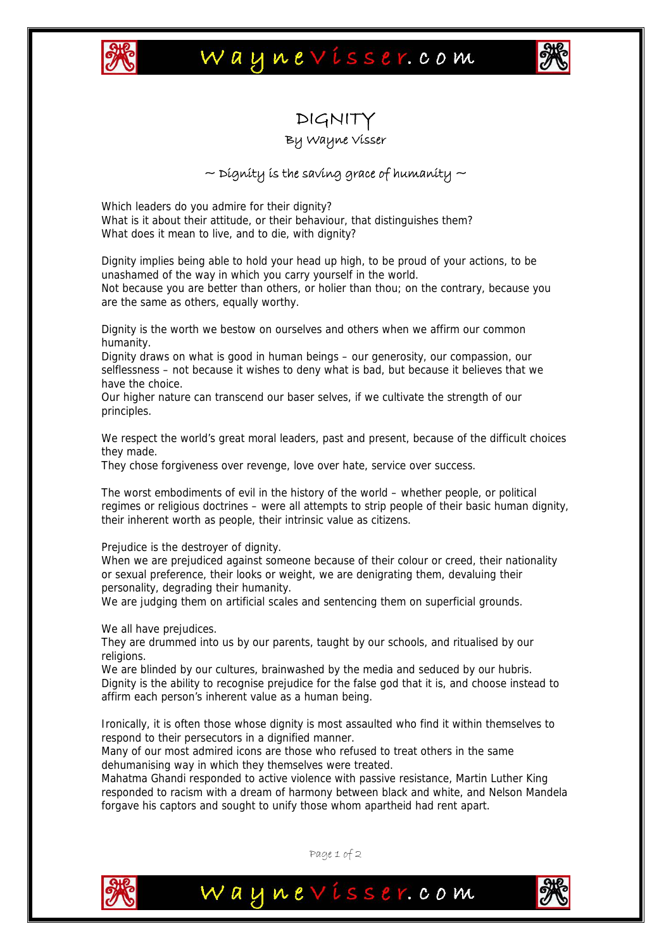

### Waynevisser.com



# DIGNIT

#### By Wayne Visser

### $\sim$  Dignity is the saving grace of humanity  $\sim$

Which leaders do you admire for their dignity? What is it about their attitude, or their behaviour, that distinguishes them? What does it mean to live, and to die, with dignity?

Dignity implies being able to hold your head up high, to be proud of your actions, to be unashamed of the way in which you carry yourself in the world. Not because you are better than others, or holier than thou; on the contrary, because you are the same as others, equally worthy.

Dignity is the worth we bestow on ourselves and others when we affirm our common humanity.

Dignity draws on what is good in human beings – our generosity, our compassion, our selflessness – not because it wishes to deny what is bad, but because it believes that we have the choice.

Our higher nature can transcend our baser selves, if we cultivate the strength of our principles.

We respect the world's great moral leaders, past and present, because of the difficult choices they made.

They chose forgiveness over revenge, love over hate, service over success.

The worst embodiments of evil in the history of the world – whether people, or political regimes or religious doctrines – were all attempts to strip people of their basic human dignity, their inherent worth as people, their intrinsic value as citizens.

Prejudice is the destroyer of dignity.

When we are prejudiced against someone because of their colour or creed, their nationality or sexual preference, their looks or weight, we are denigrating them, devaluing their personality, degrading their humanity.

We are judging them on artificial scales and sentencing them on superficial grounds.

We all have prejudices.

They are drummed into us by our parents, taught by our schools, and ritualised by our religions.

We are blinded by our cultures, brainwashed by the media and seduced by our hubris. Dignity is the ability to recognise prejudice for the false god that it is, and choose instead to affirm each person's inherent value as a human being.

Ironically, it is often those whose dignity is most assaulted who find it within themselves to respond to their persecutors in a dignified manner.

Many of our most admired icons are those who refused to treat others in the same dehumanising way in which they themselves were treated.

Mahatma Ghandi responded to active violence with passive resistance, Martin Luther King responded to racism with a dream of harmony between black and white, and Nelson Mandela forgave his captors and sought to unify those whom apartheid had rent apart.



Page 1 of 2